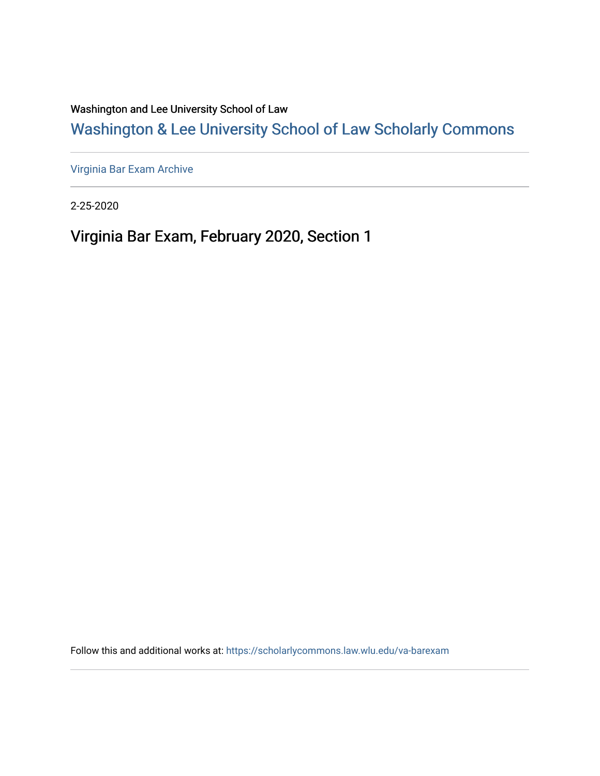Washington and Lee University School of Law

[Washington & Lee University School of Law Scholarly Commons](https://scholarlycommons.law.wlu.edu/) 

[Virginia Bar Exam Archive](https://scholarlycommons.law.wlu.edu/va-barexam)

2-25-2020

Virginia Bar Exam, February 2020, Section 1

Follow this and additional works at: [https://scholarlycommons.law.wlu.edu/va-barexam](https://scholarlycommons.law.wlu.edu/va-barexam?utm_source=scholarlycommons.law.wlu.edu%2Fva-barexam%2F221&utm_medium=PDF&utm_campaign=PDFCoverPages)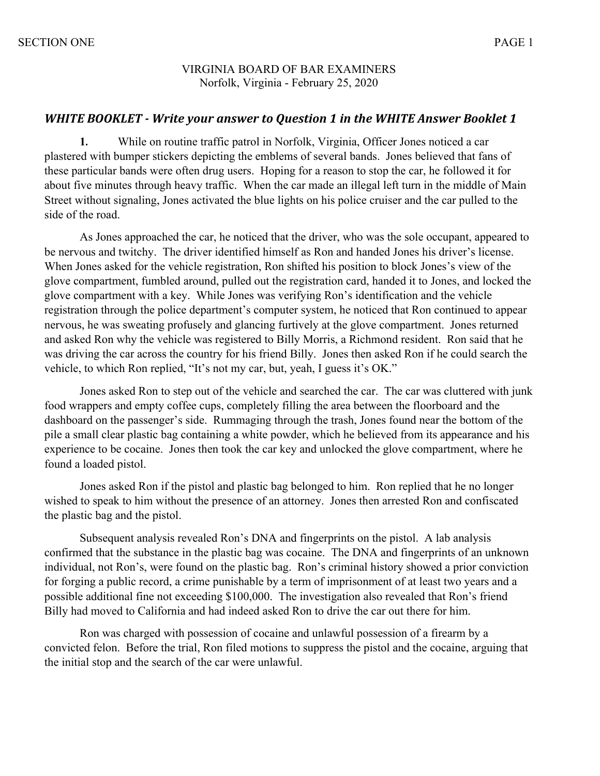#### VIRGINIA BOARD OF BAR EXAMINERS Norfolk, Virginia - February 25, 2020

### **WHITE BOOKLET** - Write your answer to Question 1 in the WHITE Answer Booklet 1

**1.** While on routine traffic patrol in Norfolk, Virginia, Officer Jones noticed a car plastered with bumper stickers depicting the emblems of several bands. Jones believed that fans of these particular bands were often drug users. Hoping for a reason to stop the car, he followed it for about five minutes through heavy traffic. When the car made an illegal left turn in the middle of Main Street without signaling, Jones activated the blue lights on his police cruiser and the car pulled to the side of the road.

As Jones approached the car, he noticed that the driver, who was the sole occupant, appeared to be nervous and twitchy. The driver identified himself as Ron and handed Jones his driver's license. When Jones asked for the vehicle registration, Ron shifted his position to block Jones's view of the glove compartment, fumbled around, pulled out the registration card, handed it to Jones, and locked the glove compartment with a key. While Jones was verifying Ron's identification and the vehicle registration through the police department's computer system, he noticed that Ron continued to appear nervous, he was sweating profusely and glancing furtively at the glove compartment. Jones returned and asked Ron why the vehicle was registered to Billy Morris, a Richmond resident. Ron said that he was driving the car across the country for his friend Billy. Jones then asked Ron if he could search the vehicle, to which Ron replied, "It's not my car, but, yeah, I guess it's OK."

Jones asked Ron to step out of the vehicle and searched the car. The car was cluttered with junk food wrappers and empty coffee cups, completely filling the area between the floorboard and the dashboard on the passenger's side. Rummaging through the trash, Jones found near the bottom of the pile a small clear plastic bag containing a white powder, which he believed from its appearance and his experience to be cocaine. Jones then took the car key and unlocked the glove compartment, where he found a loaded pistol.

Jones asked Ron if the pistol and plastic bag belonged to him. Ron replied that he no longer wished to speak to him without the presence of an attorney. Jones then arrested Ron and confiscated the plastic bag and the pistol.

Subsequent analysis revealed Ron's DNA and fingerprints on the pistol. A lab analysis confirmed that the substance in the plastic bag was cocaine. The DNA and fingerprints of an unknown individual, not Ron's, were found on the plastic bag. Ron's criminal history showed a prior conviction for forging a public record, a crime punishable by a term of imprisonment of at least two years and a possible additional fine not exceeding \$100,000. The investigation also revealed that Ron's friend Billy had moved to California and had indeed asked Ron to drive the car out there for him.

Ron was charged with possession of cocaine and unlawful possession of a firearm by a convicted felon. Before the trial, Ron filed motions to suppress the pistol and the cocaine, arguing that the initial stop and the search of the car were unlawful.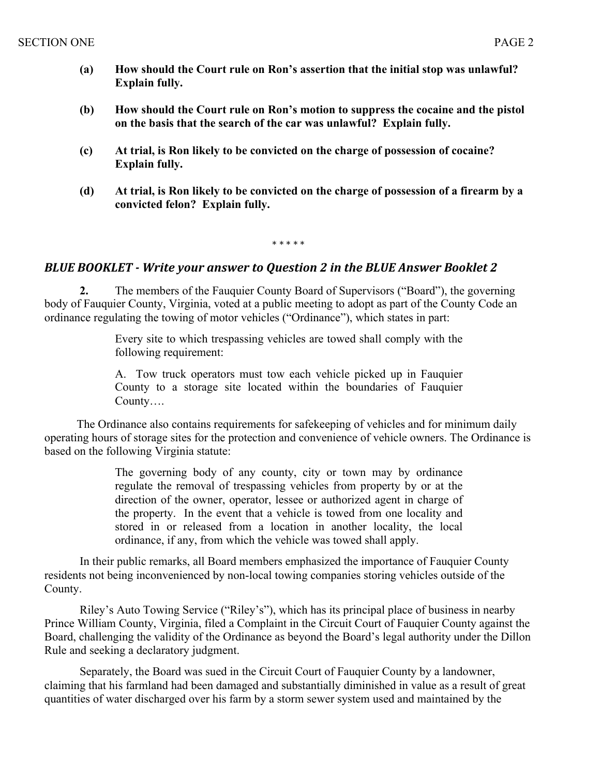- **(a) How should the Court rule on Ron's assertion that the initial stop was unlawful? Explain fully.**
- **(b) How should the Court rule on Ron's motion to suppress the cocaine and the pistol on the basis that the search of the car was unlawful? Explain fully.**
- **(c) At trial, is Ron likely to be convicted on the charge of possession of cocaine? Explain fully.**
- **(d) At trial, is Ron likely to be convicted on the charge of possession of a firearm by a convicted felon? Explain fully.**

\* \* \* \* \*

#### **BLUE BOOKLET** - Write your answer to Question 2 in the BLUE Answer Booklet 2

**2.** The members of the Fauquier County Board of Supervisors ("Board"), the governing body of Fauquier County, Virginia, voted at a public meeting to adopt as part of the County Code an ordinance regulating the towing of motor vehicles ("Ordinance"), which states in part:

> Every site to which trespassing vehicles are towed shall comply with the following requirement:

> A. Tow truck operators must tow each vehicle picked up in Fauquier County to a storage site located within the boundaries of Fauquier County….

 The Ordinance also contains requirements for safekeeping of vehicles and for minimum daily operating hours of storage sites for the protection and convenience of vehicle owners. The Ordinance is based on the following Virginia statute:

> The governing body of any county, city or town may by ordinance regulate the removal of trespassing vehicles from property by or at the direction of the owner, operator, lessee or authorized agent in charge of the property. In the event that a vehicle is towed from one locality and stored in or released from a location in another locality, the local ordinance, if any, from which the vehicle was towed shall apply.

In their public remarks, all Board members emphasized the importance of Fauquier County residents not being inconvenienced by non-local towing companies storing vehicles outside of the County.

Riley's Auto Towing Service ("Riley's"), which has its principal place of business in nearby Prince William County, Virginia, filed a Complaint in the Circuit Court of Fauquier County against the Board, challenging the validity of the Ordinance as beyond the Board's legal authority under the Dillon Rule and seeking a declaratory judgment.

Separately, the Board was sued in the Circuit Court of Fauquier County by a landowner, claiming that his farmland had been damaged and substantially diminished in value as a result of great quantities of water discharged over his farm by a storm sewer system used and maintained by the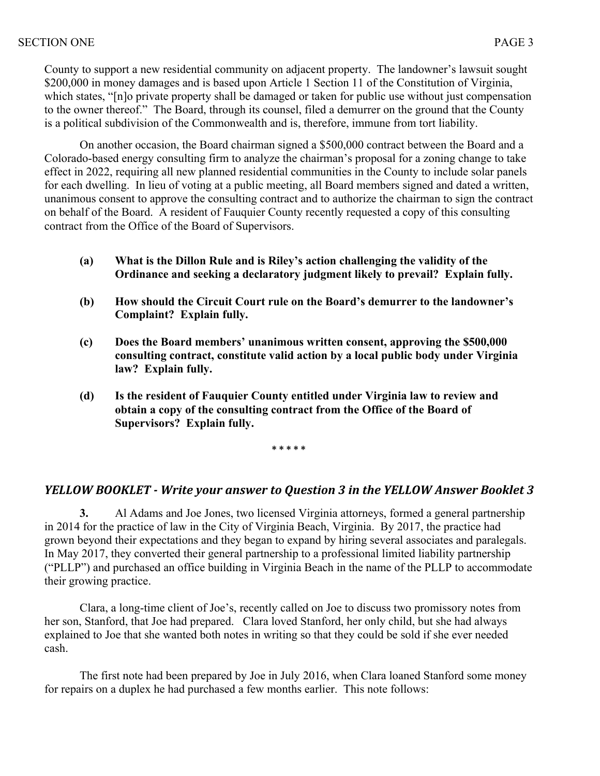County to support a new residential community on adjacent property. The landowner's lawsuit sought \$200,000 in money damages and is based upon Article 1 Section 11 of the Constitution of Virginia, which states, "[n]o private property shall be damaged or taken for public use without just compensation to the owner thereof." The Board, through its counsel, filed a demurrer on the ground that the County is a political subdivision of the Commonwealth and is, therefore, immune from tort liability.

On another occasion, the Board chairman signed a \$500,000 contract between the Board and a Colorado-based energy consulting firm to analyze the chairman's proposal for a zoning change to take effect in 2022, requiring all new planned residential communities in the County to include solar panels for each dwelling. In lieu of voting at a public meeting, all Board members signed and dated a written, unanimous consent to approve the consulting contract and to authorize the chairman to sign the contract on behalf of the Board. A resident of Fauquier County recently requested a copy of this consulting contract from the Office of the Board of Supervisors.

- **(a) What is the Dillon Rule and is Riley's action challenging the validity of the Ordinance and seeking a declaratory judgment likely to prevail? Explain fully.**
- **(b) How should the Circuit Court rule on the Board's demurrer to the landowner's Complaint? Explain fully.**
- **(c) Does the Board members' unanimous written consent, approving the \$500,000 consulting contract, constitute valid action by a local public body under Virginia law? Explain fully.**
- **(d) Is the resident of Fauquier County entitled under Virginia law to review and obtain a copy of the consulting contract from the Office of the Board of Supervisors? Explain fully.**

**\* \* \* \* \***

## *YELLOW BOOKLET* - *Write your answer to Question* 3 in the *YELLOW Answer Booklet* 3

**3.** Al Adams and Joe Jones, two licensed Virginia attorneys, formed a general partnership in 2014 for the practice of law in the City of Virginia Beach, Virginia. By 2017, the practice had grown beyond their expectations and they began to expand by hiring several associates and paralegals. In May 2017, they converted their general partnership to a professional limited liability partnership ("PLLP") and purchased an office building in Virginia Beach in the name of the PLLP to accommodate their growing practice.

Clara, a long-time client of Joe's, recently called on Joe to discuss two promissory notes from her son, Stanford, that Joe had prepared. Clara loved Stanford, her only child, but she had always explained to Joe that she wanted both notes in writing so that they could be sold if she ever needed cash.

The first note had been prepared by Joe in July 2016, when Clara loaned Stanford some money for repairs on a duplex he had purchased a few months earlier. This note follows: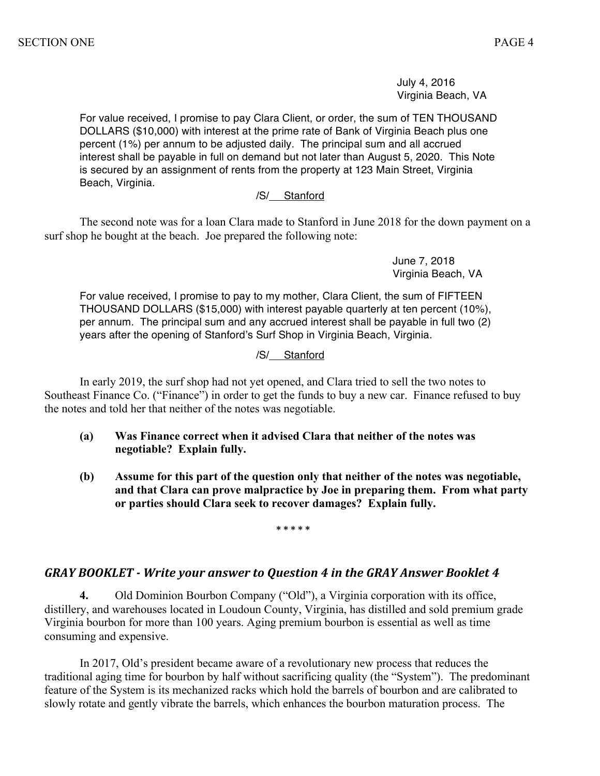July 4, 2016 Virginia Beach, VA

For value received, I promise to pay Clara Client, or order, the sum of TEN THOUSAND DOLLARS (\$10,000) with interest at the prime rate of Bank of Virginia Beach plus one percent (1%) per annum to be adjusted daily. The principal sum and all accrued interest shall be payable in full on demand but not later than August 5, 2020. This Note is secured by an assignment of rents from the property at 123 Main Street, Virginia Beach, Virginia.

#### /S/ Stanford

The second note was for a loan Clara made to Stanford in June 2018 for the down payment on a surf shop he bought at the beach. Joe prepared the following note:

> June 7, 2018 Virginia Beach, VA

For value received, I promise to pay to my mother, Clara Client, the sum of FIFTEEN THOUSAND DOLLARS (\$15,000) with interest payable quarterly at ten percent (10%), per annum. The principal sum and any accrued interest shall be payable in full two (2) years after the opening of Stanford's Surf Shop in Virginia Beach, Virginia.

#### /S/ Stanford

In early 2019, the surf shop had not yet opened, and Clara tried to sell the two notes to Southeast Finance Co. ("Finance") in order to get the funds to buy a new car. Finance refused to buy the notes and told her that neither of the notes was negotiable.

- **(a) Was Finance correct when it advised Clara that neither of the notes was negotiable? Explain fully.**
- **(b) Assume for this part of the question only that neither of the notes was negotiable, and that Clara can prove malpractice by Joe in preparing them. From what party or parties should Clara seek to recover damages? Explain fully.**

**\* \* \* \* \***

## GRAY BOOKLET - Write your answer to Question 4 in the GRAY Answer Booklet 4

**4.** Old Dominion Bourbon Company ("Old"), a Virginia corporation with its office, distillery, and warehouses located in Loudoun County, Virginia, has distilled and sold premium grade Virginia bourbon for more than 100 years. Aging premium bourbon is essential as well as time consuming and expensive.

In 2017, Old's president became aware of a revolutionary new process that reduces the traditional aging time for bourbon by half without sacrificing quality (the "System"). The predominant feature of the System is its mechanized racks which hold the barrels of bourbon and are calibrated to slowly rotate and gently vibrate the barrels, which enhances the bourbon maturation process. The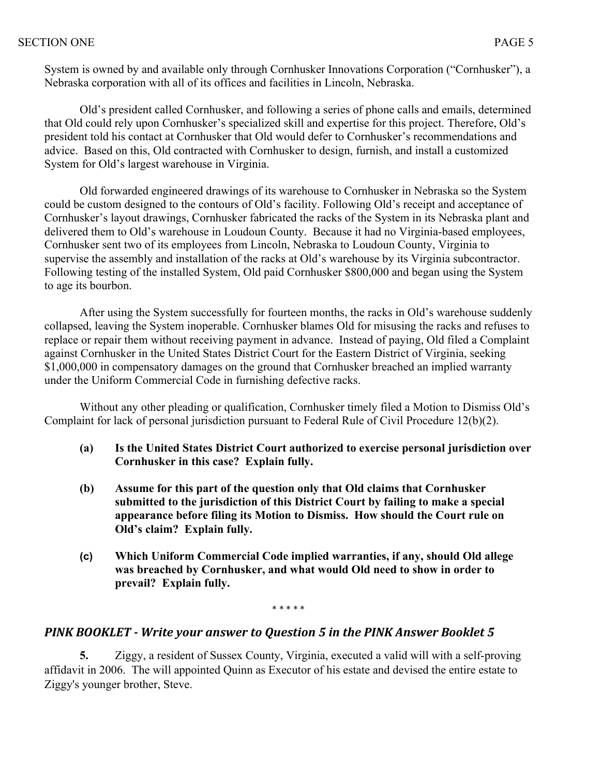System is owned by and available only through Cornhusker Innovations Corporation ("Cornhusker"), a Nebraska corporation with all of its offices and facilities in Lincoln, Nebraska.

Old's president called Cornhusker, and following a series of phone calls and emails, determined that Old could rely upon Cornhusker's specialized skill and expertise for this project. Therefore, Old's president told his contact at Cornhusker that Old would defer to Cornhusker's recommendations and advice. Based on this, Old contracted with Cornhusker to design, furnish, and install a customized System for Old's largest warehouse in Virginia.

Old forwarded engineered drawings of its warehouse to Cornhusker in Nebraska so the System could be custom designed to the contours of Old's facility. Following Old's receipt and acceptance of Cornhusker's layout drawings, Cornhusker fabricated the racks of the System in its Nebraska plant and delivered them to Old's warehouse in Loudoun County. Because it had no Virginia-based employees, Cornhusker sent two of its employees from Lincoln, Nebraska to Loudoun County, Virginia to supervise the assembly and installation of the racks at Old's warehouse by its Virginia subcontractor. Following testing of the installed System, Old paid Cornhusker \$800,000 and began using the System to age its bourbon.

After using the System successfully for fourteen months, the racks in Old's warehouse suddenly collapsed, leaving the System inoperable. Cornhusker blames Old for misusing the racks and refuses to replace or repair them without receiving payment in advance. Instead of paying, Old filed a Complaint against Cornhusker in the United States District Court for the Eastern District of Virginia, seeking \$1,000,000 in compensatory damages on the ground that Cornhusker breached an implied warranty under the Uniform Commercial Code in furnishing defective racks.

Without any other pleading or qualification, Cornhusker timely filed a Motion to Dismiss Old's Complaint for lack of personal jurisdiction pursuant to Federal Rule of Civil Procedure 12(b)(2).

- **(a) Is the United States District Court authorized to exercise personal jurisdiction over Cornhusker in this case? Explain fully.**
- **(b) Assume for this part of the question only that Old claims that Cornhusker submitted to the jurisdiction of this District Court by failing to make a special appearance before filing its Motion to Dismiss. How should the Court rule on Old's claim? Explain fully.**
- **(c) Which Uniform Commercial Code implied warranties, if any, should Old allege was breached by Cornhusker, and what would Old need to show in order to prevail? Explain fully.**

\* \* \* \* \*

# **PINK BOOKLET** - Write your answer to Question 5 in the PINK Answer Booklet 5

**5.** Ziggy, a resident of Sussex County, Virginia, executed a valid will with a self-proving affidavit in 2006. The will appointed Quinn as Executor of his estate and devised the entire estate to Ziggy's younger brother, Steve.